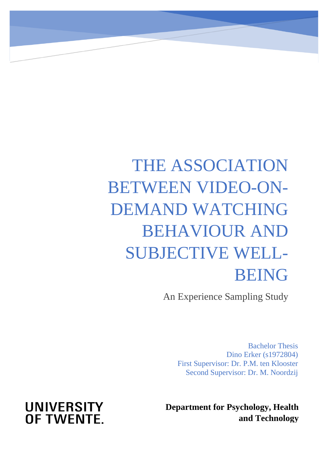# THE ASSOCIATION BETWEEN VIDEO-ON-DEMAND WATCHING BEHAVIOUR AND SUBJECTIVE WELL-BEING

An Experience Sampling Study

Bachelor Thesis Dino Erker (s1972804) First Supervisor: Dr. P.M. ten Klooster Second Supervisor: Dr. M. Noordzij

**Department for Psychology, Health and Technology**

## **UNIVERSITY** OF TWENTE.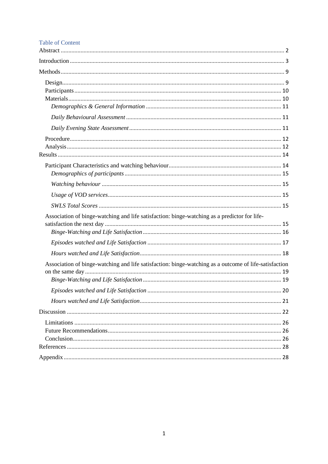#### **Table of Content**

| Association of binge-watching and life satisfaction: binge-watching as a predictor for life-          |
|-------------------------------------------------------------------------------------------------------|
|                                                                                                       |
|                                                                                                       |
| Association of binge-watching and life satisfaction: binge-watching as a outcome of life-satisfaction |
|                                                                                                       |
|                                                                                                       |
|                                                                                                       |
|                                                                                                       |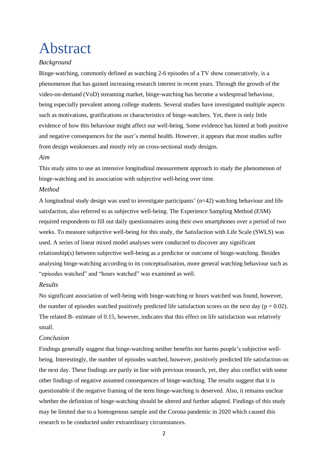## <span id="page-2-0"></span>Abstract

#### *Background*

Binge-watching, commonly defined as watching 2-6 episodes of a TV show consecutively, is a phenomenon that has gained increasing research interest in recent years. Through the growth of the video-on-demand (VoD) streaming market, binge-watching has become a widespread behaviour, being especially prevalent among college students. Several studies have investigated multiple aspects such as motivations, gratifications or characteristics of binge-watchers. Yet, there is only little evidence of how this behaviour might affect our well-being. Some evidence has hinted at both positive and negative consequences for the user's mental health. However, it appears that most studies suffer from design weaknesses and mostly rely on cross-sectional study designs.

#### *Aim*

This study aims to use an intensive longitudinal measurement approach to study the phenomenon of binge-watching and its association with subjective well-being over time.

#### *Method*

A longitudinal study design was used to investigate participants' (n=42) watching behaviour and life satisfaction, also referred to as subjective well-being. The Experience Sampling Method (ESM) required respondents to fill out daily questionnaires using their own smartphones over a period of two weeks. To measure subjective well-being for this study, the Satisfaction with Life Scale (SWLS) was used. A series of linear mixed model analyses were conducted to discover any significant relationship(s) between subjective well-being as a predictor or outcome of binge-watching. Besides analysing binge-watching according to its conceptualisation, more general watching behaviour such as "episodes watched" and "hours watched" was examined as well.

#### *Results*

No significant association of well-being with binge-watching or hours watched was found, however, the number of episodes watched positively predicted life satisfaction scores on the next day ( $p = 0.02$ ). The related B- estimate of 0.15, however, indicates that this effect on life satisfaction was relatively small.

#### *Conclusion*

Findings generally suggest that binge-watching neither benefits nor harms people's subjective wellbeing. Interestingly, the number of episodes watched, however, positively predicted life satisfaction on the next day. These findings are partly in line with previous research, yet, they also conflict with some other findings of negative assumed consequences of binge-watching. The results suggest that it is questionable if the negative framing of the term binge-watching is deserved. Also, it remains unclear whether the definition of binge-watching should be altered and further adapted. Findings of this study may be limited due to a homogenous sample and the Corona pandemic in 2020 which caused this research to be conducted under extraordinary circumstances.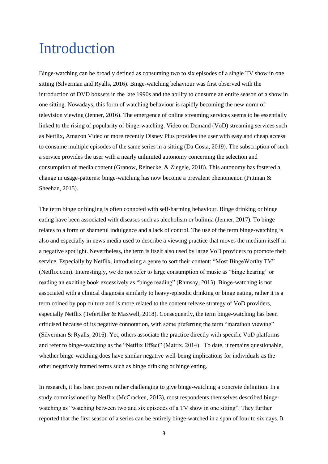## <span id="page-3-0"></span>Introduction

Binge-watching can be broadly defined as consuming two to six episodes of a single TV show in one sitting (Silverman and Ryalls, 2016). Binge-watching behaviour was first observed with the introduction of DVD boxsets in the late 1990s and the ability to consume an entire season of a show in one sitting. Nowadays, this form of watching behaviour is rapidly becoming the new norm of television viewing (Jenner, 2016). The emergence of online streaming services seems to be essentially linked to the rising of popularity of binge-watching. Video on Demand (VoD) streaming services such as Netflix, Amazon Video or more recently Disney Plus provides the user with easy and cheap access to consume multiple episodes of the same series in a sitting (Da Costa, 2019). The subscription of such a service provides the user with a nearly unlimited autonomy concerning the selection and consumption of media content (Granow, Reinecke, & Ziegele, 2018). This autonomy has fostered a change in usage-patterns: binge-watching has now become a prevalent phenomenon (Pittman & Sheehan, 2015).

The term binge or binging is often connoted with self-harming behaviour. Binge drinking or binge eating have been associated with diseases such as alcoholism or bulimia (Jenner, 2017). To binge relates to a form of shameful indulgence and a lack of control. The use of the term binge-watching is also and especially in news media used to describe a viewing practice that moves the medium itself in a negative spotlight. Nevertheless, the term is itself also used by large VoD providers to promote their service. Especially by Netflix, introducing a genre to sort their content: "Most BingeWorthy TV" (Netflix.com). Interestingly, we do not refer to large consumption of music as "binge hearing" or reading an exciting book excessively as "binge reading" (Ramsay, 2013). Binge-watching is not associated with a clinical diagnosis similarly to heavy-episodic drinking or binge eating, rather it is a term coined by pop culture and is more related to the content release strategy of VoD providers, especially Netflix (Tefertiller & Maxwell, 2018). Consequently, the term binge-watching has been criticised because of its negative connotation, with some preferring the term "marathon viewing" (Silverman & Ryalls, 2016). Yet, others associate the practice directly with specific VoD platforms and refer to binge-watching as the "Netflix Effect" (Matrix, 2014). To date, it remains questionable, whether binge-watching does have similar negative well-being implications for individuals as the other negatively framed terms such as binge drinking or binge eating.

In research, it has been proven rather challenging to give binge-watching a concrete definition. In a study commissioned by Netflix (McCracken, 2013), most respondents themselves described bingewatching as "watching between two and six episodes of a TV show in one sitting". They further reported that the first season of a series can be entirely binge-watched in a span of four to six days. It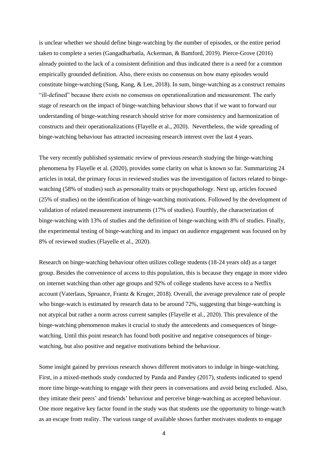is unclear whether we should define binge-watching by the number of episodes, or the entire period taken to complete a series (Gangadharbatla, Ackerman, & Bamford, 2019). Pierce-Grove (2016) already pointed to the lack of a consistent definition and thus indicated there is a need for a common empirically grounded definition. Also, there exists no consensus on how many episodes would constitute binge-watching (Sung, Kang, & Lee, 2018). In sum, binge-watching as a construct remains "ill-defined" because there exists no consensus on operationalization and measurement. The early stage of research on the impact of binge-watching behaviour shows that if we want to forward our understanding of binge-watching research should strive for more consistency and harmonization of constructs and their operationalizations (Flayelle et al., 2020). Nevertheless, the wide spreading of binge-watching behaviour has attracted increasing research interest over the last 4 years.

The very recently published systematic review of previous research studying the binge-watching phenomena by Flayelle et al. (2020), provides some clarity on what is known so far. Summarizing 24 articles in total, the primary focus in reviewed studies was the investigation of factors related to bingewatching (58% of studies) such as personality traits or psychopathology. Next up, articles focused (25% of studies) on the identification of binge-watching motivations. Followed by the development of validation of related measurement instruments (17% of studies). Fourthly, the characterization of binge-watching with 13% of studies and the definition of binge-watching with 8% of studies. Finally, the experimental testing of binge-watching and its impact on audience engagement was focused on by 8% of reviewed studies (Flayelle et al., 2020).

Research on binge-watching behaviour often utilizes college students (18-24 years old) as a target group. Besides the convenience of access to this population, this is because they engage in more video on internet watching than other age groups and 92% of college students have access to a Netflix account (Vaterlaus, Spruance, Frantz & Kruger, 2018). Overall, the average prevalence rate of people who binge-watch is estimated by research data to be around 72%, suggesting that binge-watching is not atypical but rather a norm across current samples (Flayelle et al., 2020). This prevalence of the binge-watching phenomenon makes it crucial to study the antecedents and consequences of bingewatching. Until this point research has found both positive and negative consequences of bingewatching, but also positive and negative motivations behind the behaviour.

Some insight gained by previous research shows different motivators to indulge in binge-watching. First, in a mixed-methods study conducted by Panda and Pandey (2017), students indicated to spend more time binge-watching to engage with their peers in conversations and avoid being excluded. Also, they imitate their peers' and friends' behaviour and perceive binge-watching as accepted behaviour. One more negative key factor found in the study was that students use the opportunity to binge-watch as an escape from reality. The various range of available shows further motivates students to engage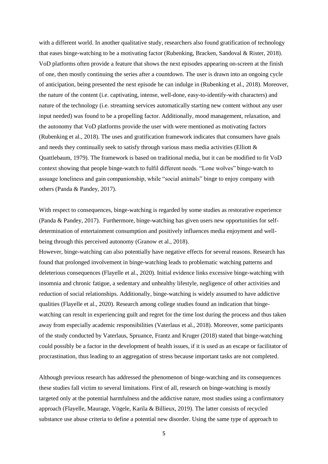with a different world. In another qualitative study, researchers also found gratification of technology that eases binge-watching to be a motivating factor (Rubenking, Bracken, Sandoval & Rister, 2018). VoD platforms often provide a feature that shows the next episodes appearing on-screen at the finish of one, then mostly continuing the series after a countdown. The user is drawn into an ongoing cycle of anticipation, being presented the next episode he can indulge in (Rubenking et al., 2018). Moreover, the nature of the content (i.e. captivating, intense, well-done, easy-to-identify-with characters) and nature of the technology (i.e. streaming services automatically starting new content without any user input needed) was found to be a propelling factor. Additionally, mood management, relaxation, and the autonomy that VoD platforms provide the user with were mentioned as motivating factors (Rubenking et al., 2018). The uses and gratification framework indicates that consumers have goals and needs they continually seek to satisfy through various mass media activities (Elliott & Quattlebaum, 1979). The framework is based on traditional media, but it can be modified to fit VoD context showing that people binge-watch to fulfil different needs. "Lone wolves" binge-watch to assuage loneliness and gain companionship, while "social animals" binge to enjoy company with others (Panda & Pandey, 2017).

With respect to consequences, binge-watching is regarded by some studies as restorative experience (Panda & Pandey, 2017). Furthermore, binge-watching has given users new opportunities for selfdetermination of entertainment consumption and positively influences media enjoyment and wellbeing through this perceived autonomy (Granow et al., 2018).

However, binge-watching can also potentially have negative effects for several reasons. Research has found that prolonged involvement in binge-watching leads to problematic watching patterns and deleterious consequences (Flayelle et al., 2020). Initial evidence links excessive binge-watching with insomnia and chronic fatigue, a sedentary and unhealthy lifestyle, negligence of other activities and reduction of social relationships. Additionally, binge-watching is widely assumed to have addictive qualities (Flayelle et al., 2020). Research among college studies found an indication that bingewatching can result in experiencing guilt and regret for the time lost during the process and thus taken away from especially academic responsibilities (Vaterlaus et al., 2018). Moreover, some participants of the study conducted by Vaterlaus, Spruance, Frantz and Kruger (2018) stated that binge-watching could possibly be a factor in the development of health issues, if it is used as an escape or facilitator of procrastination, thus leading to an aggregation of stress because important tasks are not completed.

Although previous research has addressed the phenomenon of binge-watching and its consequences these studies fall victim to several limitations. First of all, research on binge-watching is mostly targeted only at the potential harmfulness and the addictive nature, most studies using a confirmatory approach (Flayelle, Maurage, Vögele, Karila & Billieux, 2019). The latter consists of recycled substance use abuse criteria to define a potential new disorder. Using the same type of approach to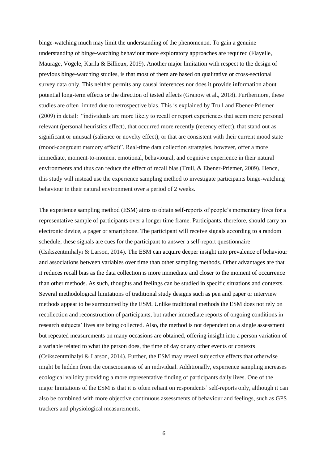binge-watching much may limit the understanding of the phenomenon. To gain a genuine understanding of binge-watching behaviour more exploratory approaches are required (Flayelle, Maurage, Vögele, Karila & Billieux, 2019). Another major limitation with respect to the design of previous binge-watching studies, is that most of them are based on qualitative or cross-sectional survey data only. This neither permits any causal inferences nor does it provide information about potential long-term effects or the direction of tested effects (Granow et al., 2018). Furthermore, these studies are often limited due to retrospective bias. This is explained by Trull and Ebener-Priemer (2009) in detail: "individuals are more likely to recall or report experiences that seem more personal relevant (personal heuristics effect), that occurred more recently (recency effect), that stand out as significant or unusual (salience or novelty effect), or that are consistent with their current mood state (mood-congruent memory effect)". Real-time data collection strategies, however, offer a more immediate, moment-to-moment emotional, behavioural, and cognitive experience in their natural environments and thus can reduce the effect of recall bias (Trull, & Ebener-Priemer, 2009). Hence, this study will instead use the experience sampling method to investigate participants binge-watching behaviour in their natural environment over a period of 2 weeks.

The experience sampling method (ESM) aims to obtain self-reports of people's momentary lives for a representative sample of participants over a longer time frame. Participants, therefore, should carry an electronic device, a pager or smartphone. The participant will receive signals according to a random schedule, these signals are cues for the participant to answer a self-report questionnaire (Csikszentmihalyi & Larson, 2014). The ESM can acquire deeper insight into prevalence of behaviour and associations between variables over time than other sampling methods. Other advantages are that it reduces recall bias as the data collection is more immediate and closer to the moment of occurrence than other methods. As such, thoughts and feelings can be studied in specific situations and contexts. Several methodological limitations of traditional study designs such as pen and paper or interview methods appear to be surmounted by the ESM. Unlike traditional methods the ESM does not rely on recollection and reconstruction of participants, but rather immediate reports of ongoing conditions in research subjects' lives are being collected. Also, the method is not dependent on a single assessment but repeated measurements on many occasions are obtained, offering insight into a person variation of a variable related to what the person does, the time of day or any other events or contexts (Csikszentmihalyi & Larson, 2014). Further, the ESM may reveal subjective effects that otherwise might be hidden from the consciousness of an individual. Additionally, experience sampling increases ecological validity providing a more representative finding of participants daily lives. One of the major limitations of the ESM is that it is often reliant on respondents' self-reports only, although it can also be combined with more objective continuous assessments of behaviour and feelings, such as GPS trackers and physiological measurements.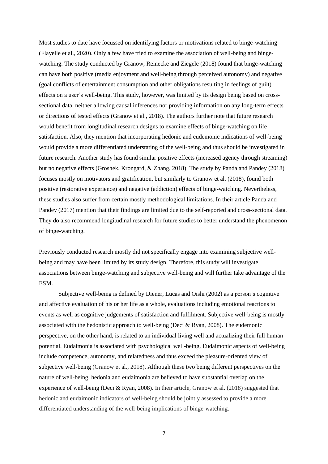Most studies to date have focussed on identifying factors or motivations related to binge-watching (Flayelle et al., 2020). Only a few have tried to examine the association of well-being and bingewatching. The study conducted by Granow, Reinecke and Ziegele (2018) found that binge-watching can have both positive (media enjoyment and well-being through perceived autonomy) and negative (goal conflicts of entertainment consumption and other obligations resulting in feelings of guilt) effects on a user's well-being. This study, however, was limited by its design being based on crosssectional data, neither allowing causal inferences nor providing information on any long-term effects or directions of tested effects (Granow et al., 2018). The authors further note that future research would benefit from longitudinal research designs to examine effects of binge-watching on life satisfaction. Also, they mention that incorporating hedonic and eudemonic indications of well-being would provide a more differentiated understating of the well-being and thus should be investigated in future research. Another study has found similar positive effects (increased agency through streaming) but no negative effects (Groshek, Krongard, & Zhang, 2018). The study by Panda and Pandey (2018) focuses mostly on motivators and gratification, but similarly to Granow et al. (2018), found both positive (restorative experience) and negative (addiction) effects of binge-watching. Nevertheless, these studies also suffer from certain mostly methodological limitations. In their article Panda and Pandey (2017) mention that their findings are limited due to the self-reported and cross-sectional data. They do also recommend longitudinal research for future studies to better understand the phenomenon of binge-watching.

Previously conducted research mostly did not specifically engage into examining subjective wellbeing and may have been limited by its study design. Therefore, this study will investigate associations between binge-watching and subjective well-being and will further take advantage of the ESM.

Subjective well-being is defined by Diener, Lucas and Oishi (2002) as a person's cognitive and affective evaluation of his or her life as a whole, evaluations including emotional reactions to events as well as cognitive judgements of satisfaction and fulfilment. Subjective well-being is mostly associated with the hedonistic approach to well-being (Deci & Ryan, 2008). The eudemonic perspective, on the other hand, is related to an individual living well and actualizing their full human potential. Eudaimonia is associated with psychological well-being. Eudaimonic aspects of well-being include competence, autonomy, and relatedness and thus exceed the pleasure-oriented view of subjective well-being (Granow et al., 2018). Although these two being different perspectives on the nature of well-being, hedonia and eudaimonia are believed to have substantial overlap on the experience of well-being (Deci & Ryan, 2008). In their article, Granow et al. (2018) suggested that hedonic and eudaimonic indicators of well-being should be jointly assessed to provide a more differentiated understanding of the well-being implications of binge-watching.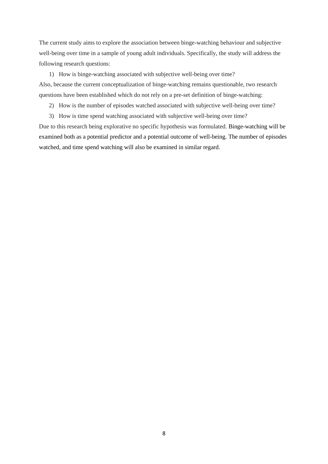The current study aims to explore the association between binge-watching behaviour and subjective well-being over time in a sample of young adult individuals. Specifically, the study will address the following research questions:

1) How is binge-watching associated with subjective well-being over time?

Also, because the current conceptualization of binge-watching remains questionable, two research questions have been established which do not rely on a pre-set definition of binge-watching:

- 2) How is the number of episodes watched associated with subjective well-being over time?
- 3) How is time spend watching associated with subjective well-being over time?

<span id="page-8-0"></span>Due to this research being explorative no specific hypothesis was formulated. Binge-watching will be examined both as a potential predictor and a potential outcome of well-being. The number of episodes watched, and time spend watching will also be examined in similar regard.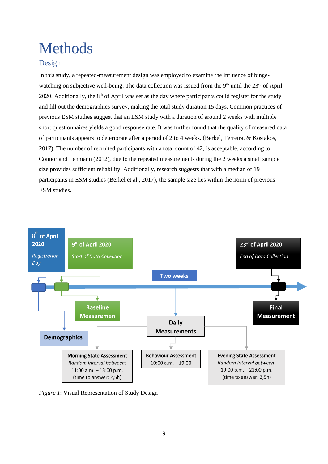## Methods

### <span id="page-9-0"></span>Design

In this study, a repeated-measurement design was employed to examine the influence of bingewatching on subjective well-being. The data collection was issued from the 9<sup>th</sup> until the 23<sup>rd</sup> of April 2020. Additionally, the  $8<sup>th</sup>$  of April was set as the day where participants could register for the study and fill out the demographics survey, making the total study duration 15 days. Common practices of previous ESM studies suggest that an ESM study with a duration of around 2 weeks with multiple short questionnaires yields a good response rate. It was further found that the quality of measured data of participants appears to deteriorate after a period of 2 to 4 weeks. (Berkel, Ferreira, & Kostakos, 2017). The number of recruited participants with a total count of 42, is acceptable, according to Connor and Lehmann (2012), due to the repeated measurements during the 2 weeks a small sample size provides sufficient reliability. Additionally, research suggests that with a median of 19 participants in ESM studies (Berkel et al., 2017), the sample size lies within the norm of previous ESM studies.



*Figure 1*: Visual Representation of Study Design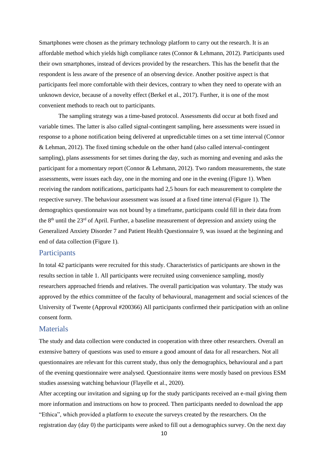Smartphones were chosen as the primary technology platform to carry out the research. It is an affordable method which yields high compliance rates (Connor & Lehmann, 2012). Participants used their own smartphones, instead of devices provided by the researchers. This has the benefit that the respondent is less aware of the presence of an observing device. Another positive aspect is that participants feel more comfortable with their devices, contrary to when they need to operate with an unknown device, because of a novelty effect (Berkel et al., 2017). Further, it is one of the most convenient methods to reach out to participants.

The sampling strategy was a time-based protocol. Assessments did occur at both fixed and variable times. The latter is also called signal-contingent sampling, here assessments were issued in response to a phone notification being delivered at unpredictable times on a set time interval (Connor & Lehman, 2012). The fixed timing schedule on the other hand (also called interval-contingent sampling), plans assessments for set times during the day, such as morning and evening and asks the participant for a momentary report (Connor & Lehmann, 2012). Two random measurements, the state assessments, were issues each day, one in the morning and one in the evening (Figure 1). When receiving the random notifications, participants had 2,5 hours for each measurement to complete the respective survey. The behaviour assessment was issued at a fixed time interval (Figure 1). The demographics questionnaire was not bound by a timeframe, participants could fill in their data from the 8th until the 23rd of April. Further, a baseline measurement of depression and anxiety using the Generalized Anxiety Disorder 7 and Patient Health Questionnaire 9, was issued at the beginning and end of data collection (Figure 1).

#### <span id="page-10-0"></span>**Participants**

In total 42 participants were recruited for this study. Characteristics of participants are shown in the results section in table 1. All participants were recruited using convenience sampling, mostly researchers approached friends and relatives. The overall participation was voluntary. The study was approved by the ethics committee of the faculty of behavioural, management and social sciences of the University of Twente (Approval #200366) All participants confirmed their participation with an online consent form.

#### <span id="page-10-1"></span>**Materials**

The study and data collection were conducted in cooperation with three other researchers. Overall an extensive battery of questions was used to ensure a good amount of data for all researchers. Not all questionnaires are relevant for this current study, thus only the demographics, behavioural and a part of the evening questionnaire were analysed. Questionnaire items were mostly based on previous ESM studies assessing watching behaviour (Flayelle et al., 2020).

After accepting our invitation and signing up for the study participants received an e-mail giving them more information and instructions on how to proceed. Then participants needed to download the app "Ethica", which provided a platform to execute the surveys created by the researchers. On the registration day (day 0) the participants were asked to fill out a demographics survey. On the next day

10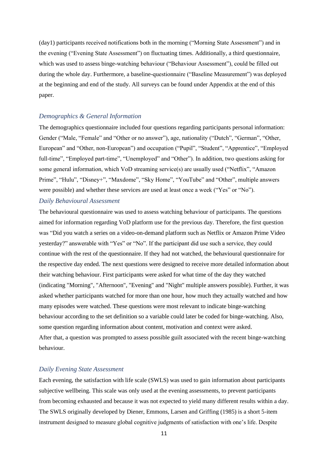(day1) participants received notifications both in the morning ("Morning State Assessment") and in the evening ("Evening State Assessment") on fluctuating times. Additionally, a third questionnaire, which was used to assess binge-watching behaviour ("Behaviour Assessment"), could be filled out during the whole day. Furthermore, a baseline-questionnaire ("Baseline Measurement") was deployed at the beginning and end of the study. All surveys can be found under Appendix at the end of this paper.

#### <span id="page-11-0"></span>*Demographics & General Information*

The demographics questionnaire included four questions regarding participants personal information: Gender ("Male, "Female" and "Other or no answer"), age, nationality ("Dutch", "German", "Other, European" and "Other, non-European") and occupation ("Pupil", "Student", "Apprentice", "Employed full-time", "Employed part-time", "Unemployed" and "Other"). In addition, two questions asking for some general information, which VoD streaming service(s) are usually used ("Netflix", "Amazon Prime", "Hulu", "Disney+", "Maxdome", "Sky Home", "YouTube" and "Other", multiple answers were possible) and whether these services are used at least once a week ("Yes" or "No").

#### <span id="page-11-1"></span>*Daily Behavioural Assessment*

The behavioural questionnaire was used to assess watching behaviour of participants. The questions aimed for information regarding VoD platform use for the previous day. Therefore, the first question was "Did you watch a series on a video-on-demand platform such as Netflix or Amazon Prime Video yesterday?" answerable with "Yes" or "No". If the participant did use such a service, they could continue with the rest of the questionnaire. If they had not watched, the behavioural questionnaire for the respective day ended. The next questions were designed to receive more detailed information about their watching behaviour. First participants were asked for what time of the day they watched (indicating "Morning", "Afternoon", "Evening" and "Night" multiple answers possible). Further, it was asked whether participants watched for more than one hour, how much they actually watched and how many episodes were watched. These questions were most relevant to indicate binge-watching behaviour according to the set definition so a variable could later be coded for binge-watching. Also, some question regarding information about content, motivation and context were asked. After that, a question was prompted to assess possible guilt associated with the recent binge-watching behaviour.

#### <span id="page-11-2"></span>*Daily Evening State Assessment*

Each evening, the satisfaction with life scale (SWLS) was used to gain information about participants subjective wellbeing. This scale was only used at the evening assessments, to prevent participants from becoming exhausted and because it was not expected to yield many different results within a day. The SWLS originally developed by Diener, Emmons, Larsen and Griffing (1985) is a short 5-item instrument designed to measure global cognitive judgments of satisfaction with one's life. Despite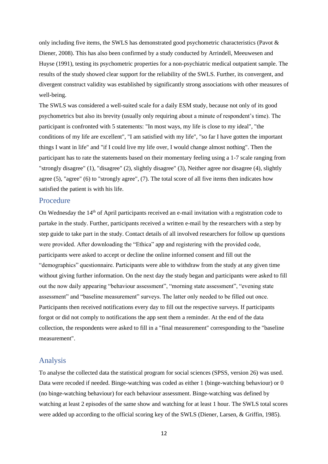only including five items, the SWLS has demonstrated good psychometric characteristics (Pavot & Diener, 2008). This has also been confirmed by a study conducted by Arrindell, Meeuwesen and Huyse (1991), testing its psychometric properties for a non-psychiatric medical outpatient sample. The results of the study showed clear support for the reliability of the SWLS. Further, its convergent, and divergent construct validity was established by significantly strong associations with other measures of well-being.

The SWLS was considered a well-suited scale for a daily ESM study, because not only of its good psychometrics but also its brevity (usually only requiring about a minute of respondent's time). The participant is confronted with 5 statements: "In most ways, my life is close to my ideal", "the conditions of my life are excellent", "I am satisfied with my life", "so far I have gotten the important things I want in life" and "if I could live my life over, I would change almost nothing". Then the participant has to rate the statements based on their momentary feeling using a 1-7 scale ranging from "strongly disagree" (1), "disagree" (2), slightly disagree" (3), Neither agree nor disagree (4), slightly agree (5), "agree" (6) to "strongly agree", (7). The total score of all five items then indicates how satisfied the patient is with his life.

#### <span id="page-12-0"></span>Procedure

On Wednesday the 14<sup>th</sup> of April participants received an e-mail invitation with a registration code to partake in the study. Further, participants received a written e-mail by the researchers with a step by step guide to take part in the study. Contact details of all involved researchers for follow up questions were provided. After downloading the "Ethica" app and registering with the provided code, participants were asked to accept or decline the online informed consent and fill out the "demographics" questionnaire. Participants were able to withdraw from the study at any given time without giving further information. On the next day the study began and participants were asked to fill out the now daily appearing "behaviour assessment", "morning state assessment", "evening state assessment" and "baseline measurement" surveys. The latter only needed to be filled out once. Participants then received notifications every day to fill out the respective surveys. If participants forgot or did not comply to notifications the app sent them a reminder. At the end of the data collection, the respondents were asked to fill in a "final measurement" corresponding to the "baseline measurement".

#### <span id="page-12-1"></span>Analysis

To analyse the collected data the statistical program for social sciences (SPSS, version 26) was used. Data were recoded if needed. Binge-watching was coded as either 1 (binge-watching behaviour) or 0 (no binge-watching behaviour) for each behaviour assessment. Binge-watching was defined by watching at least 2 episodes of the same show and watching for at least 1 hour. The SWLS total scores were added up according to the official scoring key of the SWLS (Diener, Larsen, & Griffin, 1985).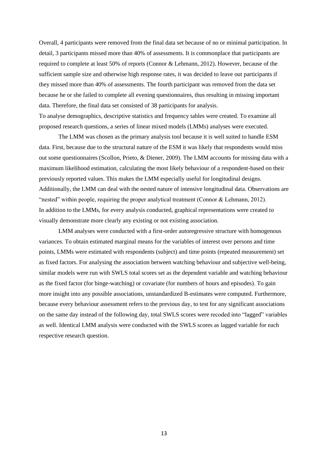Overall, 4 participants were removed from the final data set because of no or minimal participation. In detail, 3 participants missed more than 40% of assessments. It is commonplace that participants are required to complete at least 50% of reports (Connor & Lehmann, 2012). However, because of the sufficient sample size and otherwise high response rates, it was decided to leave out participants if they missed more than 40% of assessments. The fourth participant was removed from the data set because he or she failed to complete all evening questionnaires, thus resulting in missing important data. Therefore, the final data set consisted of 38 participants for analysis. To analyse demographics, descriptive statistics and frequency tables were created. To examine all proposed research questions, a series of linear mixed models (LMMs) analyses were executed.

The LMM was chosen as the primary analysis tool because it is well suited to handle ESM data. First, because due to the structural nature of the ESM it was likely that respondents would miss out some questionnaires (Scollon, Prieto, & Diener, 2009). The LMM accounts for missing data with a maximum likelihood estimation, calculating the most likely behaviour of a respondent-based on their previously reported values. This makes the LMM especially useful for longitudinal designs. Additionally, the LMM can deal with the nested nature of intensive longitudinal data. Observations are "nested" within people, requiring the proper analytical treatment (Connor & Lehmann, 2012). In addition to the LMMs, for every analysis conducted, graphical representations were created to visually demonstrate more clearly any existing or not existing association.

LMM analyses were conducted with a first-order autoregressive structure with homogenous variances. To obtain estimated marginal means for the variables of interest over persons and time points, LMMs were estimated with respondents (subject) and time points (repeated measurement) set as fixed factors. For analysing the association between watching behaviour and subjective well-being, similar models were run with SWLS total scores set as the dependent variable and watching behaviour as the fixed factor (for binge-watching) or covariate (for numbers of hours and episodes). To gain more insight into any possible associations, unstandardized B-estimates were computed. Furthermore, because every behaviour assessment refers to the previous day, to test for any significant associations on the same day instead of the following day, total SWLS scores were recoded into "lagged" variables as well. Identical LMM analysis were conducted with the SWLS scores as lagged variable for each respective research question.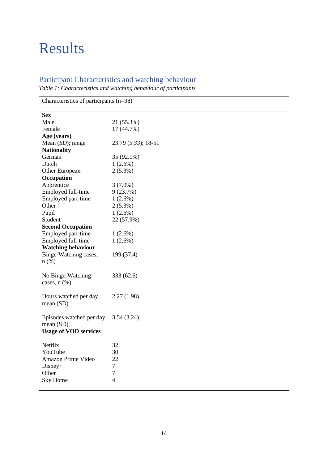## <span id="page-14-0"></span>Results

### <span id="page-14-1"></span>Participant Characteristics and watching behaviour

*Table 1: Characteristics and watching behaviour of participants*

| Characteristics of participants $(n=38)$ |                     |
|------------------------------------------|---------------------|
| <b>Sex</b>                               |                     |
| Male                                     | 21 (55.3%)          |
| Female                                   | 17 (44.7%)          |
| Age (years)                              |                     |
| Mean $(SD)$ ; range                      | 23.79 (5.33); 18-51 |
| <b>Nationality</b>                       |                     |
| German                                   | 35 (92.1%)          |
| Dutch                                    | $1(2.6\%)$          |
| Other European                           | $2(5.3\%)$          |
| Occupation                               |                     |
| Apprentice                               | $3(7.9\%)$          |
| Employed full-time                       | 9(23.7%)            |
| Employed part-time                       | $1(2.6\%)$          |
| Other                                    | $2(5.3\%)$          |
| Pupil                                    | $1(2.6\%)$          |
| Student                                  | 22 (57.9%)          |
| <b>Second Occupation</b>                 |                     |
| Employed part-time                       | $1(2.6\%)$          |
| Employed full-time                       | $1(2.6\%)$          |
| <b>Watching behaviour</b>                |                     |
| Binge-Watching cases,                    | 199 (37.4)          |
| $n$ (%)                                  |                     |
|                                          |                     |
| No Binge-Watching                        | 333 (62.6)          |
| cases, $n$ $(\%)$                        |                     |
|                                          |                     |
| Hours watched per day                    | 2.27(1.98)          |
| mean(SD)                                 |                     |
|                                          |                     |
| Episodes watched per day                 | 3.54(3.24)          |
| mean(SD)                                 |                     |
| <b>Usage of VOD services</b>             |                     |
|                                          |                     |
| Netflix                                  | 32                  |
| YouTube                                  | 30                  |
| Amazon Prime Video                       | 22                  |
| Disney+                                  | $\overline{7}$      |
| Other                                    | 7                   |
| Sky Home                                 | $\overline{4}$      |
|                                          |                     |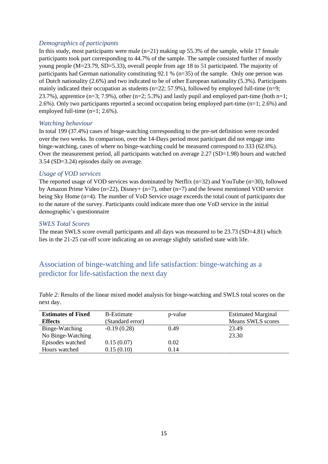#### <span id="page-15-0"></span>*Demographics of participants*

In this study, most participants were male  $(n=21)$  making up 55.3% of the sample, while 17 female participants took part corresponding to 44.7% of the sample. The sample consisted further of mostly young people (M=23.79, SD=5.33), overall people from age 18 to 51 participated. The majority of participants had German nationality constituting 92.1 % (n=35) of the sample. Only one person was of Dutch nationality (2.6%) and two indicated to be of other European nationality (5.3%). Participants mainly indicated their occupation as students (n=22; 57.9%), followed by employed full-time (n=9; 23.7%), apprentice (n=3; 7.9%), other (n=2; 5.3%) and lastly pupil and employed part-time (both n=1; 2.6%). Only two participants reported a second occupation being employed part-time (n=1; 2.6%) and employed full-time (n=1; 2.6%).

#### <span id="page-15-1"></span>*Watching behaviour*

In total 199 (37.4%) cases of binge-watching corresponding to the pre-set definition were recorded over the two weeks. In comparison, over the 14-Days period most participant did not engage into binge-watching, cases of where no binge-watching could be measured correspond to 333 (62.6%). Over the measurement period, all participants watched on average 2.27 (SD=1.98) hours and watched 3.54 (SD=3.24) episodes daily on average.

#### <span id="page-15-2"></span>*Usage of VOD services*

The reported usage of VOD services was dominated by Netflix (n=32) and YouTube (n=30), followed by Amazon Prime Video ( $n=22$ ), Disney+ ( $n=7$ ), other ( $n=7$ ) and the fewest mentioned VOD service being Sky Home (n=4). The number of VoD Service usage exceeds the total count of participants due to the nature of the survey. Participants could indicate more than one VoD service in the initial demographic's questionnaire

#### <span id="page-15-3"></span>*SWLS Total Scores*

The mean SWLS score overall participants and all days was measured to be 23.73 (SD=4.81) which lies in the 21-25 cut-off score indicating an on average slightly satisfied state with life.

### <span id="page-15-4"></span>Association of binge-watching and life satisfaction: binge-watching as a predictor for life-satisfaction the next day

*Table 2*: Results of the linear mixed model analysis for binge-watching and SWLS total scores on the next day.

| <b>Estimates of Fixed</b> | B-Estimate       | p-value | <b>Estimated Marginal</b> |
|---------------------------|------------------|---------|---------------------------|
| <b>Effects</b>            | (Standard error) |         | Means SWLS scores         |
| Binge-Watching            | $-0.19(0.28)$    | 0.49    | 23.49                     |
| No Binge-Watching         |                  |         | 23.30                     |
| Episodes watched          | 0.15(0.07)       | 0.02    |                           |
| Hours watched             | 0.15(0.10)       | 0.14    |                           |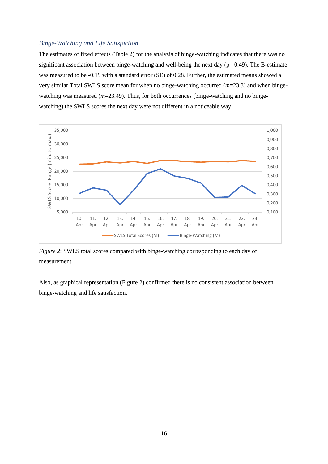#### <span id="page-16-0"></span>*Binge-Watching and Life Satisfaction*

The estimates of fixed effects (Table 2) for the analysis of binge-watching indicates that there was no significant association between binge-watching and well-being the next day ( $p= 0.49$ ). The B-estimate was measured to be -0.19 with a standard error (SE) of 0.28. Further, the estimated means showed a very similar Total SWLS score mean for when no binge-watching occurred (*m*=23.3) and when bingewatching was measured ( $m=23.49$ ). Thus, for both occurrences (binge-watching and no bingewatching) the SWLS scores the next day were not different in a noticeable way.



*Figure 2*: SWLS total scores compared with binge-watching corresponding to each day of measurement.

Also, as graphical representation (Figure 2) confirmed there is no consistent association between binge-watching and life satisfaction.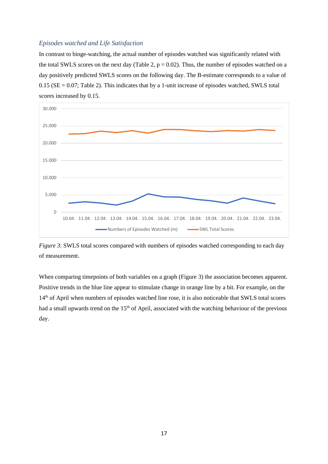#### <span id="page-17-0"></span>*Episodes watched and Life Satisfaction*

In contrast to binge-watching, the actual number of episodes watched was significantly related with the total SWLS scores on the next day (Table 2,  $p = 0.02$ ). Thus, the number of episodes watched on a day positively predicted SWLS scores on the following day. The B-estimate corresponds to a value of  $0.15$  (SE = 0.07; Table 2). This indicates that by a 1-unit increase of episodes watched, SWLS total scores increased by 0.15.



*Figure 3*: SWLS total scores compared with numbers of episodes watched corresponding to each day of measurement.

When comparing timepoints of both variables on a graph (Figure 3) the association becomes apparent. Positive trends in the blue line appear to stimulate change in orange line by a bit. For example, on the 14th of April when numbers of episodes watched line rose, it is also noticeable that SWLS total scores had a small upwards trend on the 15<sup>th</sup> of April, associated with the watching behaviour of the previous day.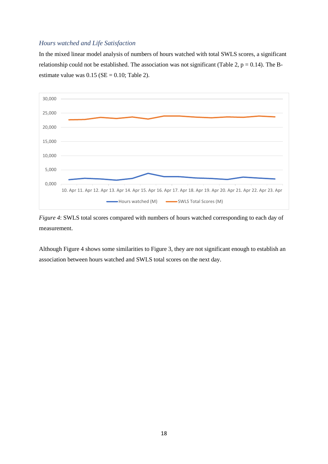#### <span id="page-18-0"></span>*Hours watched and Life Satisfaction*

In the mixed linear model analysis of numbers of hours watched with total SWLS scores, a significant relationship could not be established. The association was not significant (Table 2,  $p = 0.14$ ). The Bestimate value was  $0.15$  (SE = 0.10; Table 2).



*Figure 4*: SWLS total scores compared with numbers of hours watched corresponding to each day of measurement.

Although Figure 4 shows some similarities to Figure 3, they are not significant enough to establish an association between hours watched and SWLS total scores on the next day.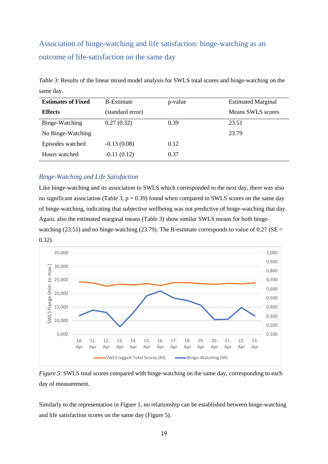## <span id="page-19-0"></span>Association of binge-watching and life satisfaction: binge-watching as an outcome of life-satisfaction on the same day

*Table 3*: Results of the linear mixed model analysis for SWLS total scores and binge-watching on the same day.

| <b>Estimates of Fixed</b> | <b>B-Estimate</b> | p-value | <b>Estimated Marginal</b> |
|---------------------------|-------------------|---------|---------------------------|
| <b>Effects</b>            | (standard error)  |         | Means SWLS scores         |
| Binge-Watching            | 0.27(0.32)        | 0.39    | 23.51                     |
| No Binge-Watching         |                   |         | 23.79                     |
| Episodes watched          | $-0.13(0.08)$     | 0.12    |                           |
| Hours watched             | $-0.11(0.12)$     | 0.37    |                           |

#### <span id="page-19-1"></span>*Binge-Watching and Life Satisfaction*

Like binge-watching and its association to SWLS which corresponded to the next day, there was also no significant association (Table 3,  $p = 0.39$ ) found when compared to SWLS scores on the same day of binge-watching, indicating that subjective wellbeing was not predictive of binge-watching that day. Again, also the estimated marginal means (Table 3) show similar SWLS means for both bingewatching (23.51) and no binge-watching (23.79). The B-estimate corresponds to value of  $0.27$  (SE = 0.32).



*Figure 5*: SWLS total scores compared with binge-watching on the same day, corresponding to each day of measurement.

Similarly to the representation in Figure 1, no relationship can be established between binge-watching and life satisfaction scores on the same day (Figure 5).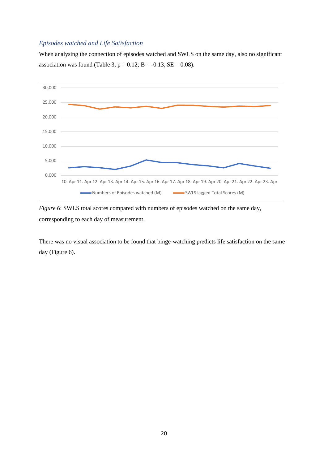#### <span id="page-20-0"></span>*Episodes watched and Life Satisfaction*

When analysing the connection of episodes watched and SWLS on the same day, also no significant association was found (Table 3,  $p = 0.12$ ;  $B = -0.13$ ,  $SE = 0.08$ ).



*Figure 6*: SWLS total scores compared with numbers of episodes watched on the same day, corresponding to each day of measurement.

There was no visual association to be found that binge-watching predicts life satisfaction on the same day (Figure 6).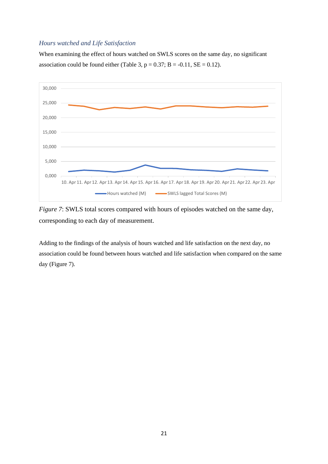#### <span id="page-21-0"></span>*Hours watched and Life Satisfaction*

When examining the effect of hours watched on SWLS scores on the same day, no significant association could be found either (Table 3,  $p = 0.37$ ;  $B = -0.11$ ,  $SE = 0.12$ ).



*Figure 7*: SWLS total scores compared with hours of episodes watched on the same day, corresponding to each day of measurement.

<span id="page-21-1"></span>Adding to the findings of the analysis of hours watched and life satisfaction on the next day, no association could be found between hours watched and life satisfaction when compared on the same day (Figure 7).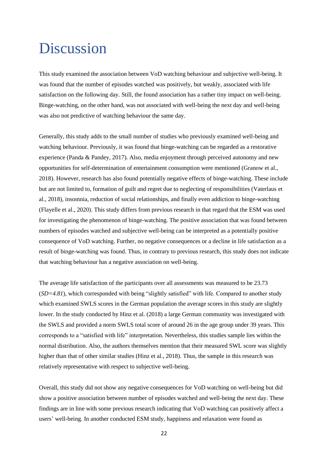## Discussion

This study examined the association between VoD watching behaviour and subjective well-being. It was found that the number of episodes watched was positively, but weakly, associated with life satisfaction on the following day. Still, the found association has a rather tiny impact on well-being. Binge-watching, on the other hand, was not associated with well-being the next day and well-being was also not predictive of watching behaviour the same day.

Generally, this study adds to the small number of studies who previously examined well-being and watching behaviour. Previously, it was found that binge-watching can be regarded as a restorative experience (Panda & Pandey, 2017). Also, media enjoyment through perceived autonomy and new opportunities for self-determination of entertainment consumption were mentioned (Granow et al., 2018). However, research has also found potentially negative effects of binge-watching. These include but are not limited to, formation of guilt and regret due to neglecting of responsibilities (Vaterlaus et al., 2018), insomnia, reduction of social relationships, and finally even addiction to binge-watching (Flayelle et al., 2020). This study differs from previous research in that regard that the ESM was used for investigating the phenomenon of binge-watching. The positive association that was found between numbers of episodes watched and subjective well-being can be interpreted as a potentially positive consequence of VoD watching. Further, no negative consequences or a decline in life satisfaction as a result of binge-watching was found. Thus, in contrary to previous research, this study does not indicate that watching behaviour has a negative association on well-being.

The average life satisfaction of the participants over all assessments was measured to be 23.73 (*SD=4.81*), which corresponded with being "slightly satisfied" with life. Compared to another study which examined SWLS scores in the German population the average scores in this study are slightly lower. In the study conducted by Hinz et al. (2018) a large German community was investigated with the SWLS and provided a norm SWLS total score of around 26 in the age group under 39 years. This corresponds to a "satisfied with life" interpretation. Nevertheless, this studies sample lies within the normal distribution. Also, the authors themselves mention that their measured SWL score was slightly higher than that of other similar studies (Hinz et al., 2018). Thus, the sample in this research was relatively representative with respect to subjective well-being.

Overall, this study did not show any negative consequences for VoD watching on well-being but did show a positive association between number of episodes watched and well-being the next day. These findings are in line with some previous research indicating that VoD watching can positively affect a users' well-being. In another conducted ESM study, happiness and relaxation were found as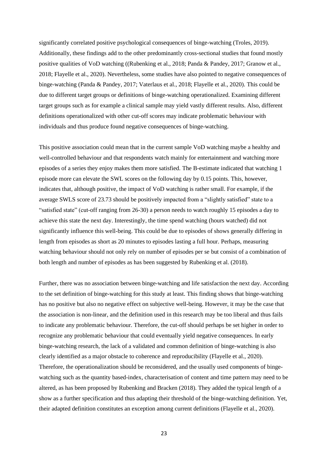significantly correlated positive psychological consequences of binge-watching (Troles, 2019). Additionally, these findings add to the other predominantly cross-sectional studies that found mostly positive qualities of VoD watching ((Rubenking et al., 2018; Panda & Pandey, 2017; Granow et al., 2018; Flayelle et al., 2020). Nevertheless, some studies have also pointed to negative consequences of binge-watching (Panda & Pandey, 2017; Vaterlaus et al., 2018; Flayelle et al., 2020). This could be due to different target groups or definitions of binge-watching operationalized. Examining different target groups such as for example a clinical sample may yield vastly different results. Also, different definitions operationalized with other cut-off scores may indicate problematic behaviour with individuals and thus produce found negative consequences of binge-watching.

This positive association could mean that in the current sample VoD watching maybe a healthy and well-controlled behaviour and that respondents watch mainly for entertainment and watching more episodes of a series they enjoy makes them more satisfied. The B-estimate indicated that watching 1 episode more can elevate the SWL scores on the following day by 0.15 points. This, however, indicates that, although positive, the impact of VoD watching is rather small. For example, if the average SWLS score of 23.73 should be positively impacted from a "slightly satisfied" state to a "satisfied state" (cut-off ranging from 26-30) a person needs to watch roughly 15 episodes a day to achieve this state the next day. Interestingly, the time spend watching (hours watched) did not significantly influence this well-being. This could be due to episodes of shows generally differing in length from episodes as short as 20 minutes to episodes lasting a full hour. Perhaps, measuring watching behaviour should not only rely on number of episodes per se but consist of a combination of both length and number of episodes as has been suggested by Rubenking et al. (2018).

Further, there was no association between binge-watching and life satisfaction the next day. According to the set definition of binge-watching for this study at least. This finding shows that binge-watching has no positive but also no negative effect on subjective well-being. However, it may be the case that the association is non-linear, and the definition used in this research may be too liberal and thus fails to indicate any problematic behaviour. Therefore, the cut-off should perhaps be set higher in order to recognize any problematic behaviour that could eventually yield negative consequences. In early binge-watching research, the lack of a validated and common definition of binge-watching is also clearly identified as a major obstacle to coherence and reproducibility (Flayelle et al., 2020). Therefore, the operationalization should be reconsidered, and the usually used components of bingewatching such as the quantity based-index, characterisation of content and time pattern may need to be altered, as has been proposed by Rubenking and Bracken (2018). They added the typical length of a show as a further specification and thus adapting their threshold of the binge-watching definition. Yet, their adapted definition constitutes an exception among current definitions (Flayelle et al., 2020).

23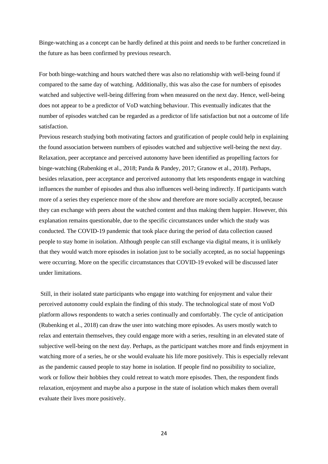Binge-watching as a concept can be hardly defined at this point and needs to be further concretized in the future as has been confirmed by previous research.

For both binge-watching and hours watched there was also no relationship with well-being found if compared to the same day of watching. Additionally, this was also the case for numbers of episodes watched and subjective well-being differing from when measured on the next day. Hence, well-being does not appear to be a predictor of VoD watching behaviour. This eventually indicates that the number of episodes watched can be regarded as a predictor of life satisfaction but not a outcome of life satisfaction.

Previous research studying both motivating factors and gratification of people could help in explaining the found association between numbers of episodes watched and subjective well-being the next day. Relaxation, peer acceptance and perceived autonomy have been identified as propelling factors for binge-watching (Rubenking et al., 2018; Panda & Pandey, 2017; Granow et al., 2018). Perhaps, besides relaxation, peer acceptance and perceived autonomy that lets respondents engage in watching influences the number of episodes and thus also influences well-being indirectly. If participants watch more of a series they experience more of the show and therefore are more socially accepted, because they can exchange with peers about the watched content and thus making them happier. However, this explanation remains questionable, due to the specific circumstances under which the study was conducted. The COVID-19 pandemic that took place during the period of data collection caused people to stay home in isolation. Although people can still exchange via digital means, it is unlikely that they would watch more episodes in isolation just to be socially accepted, as no social happenings were occurring. More on the specific circumstances that COVID-19 evoked will be discussed later under limitations.

Still, in their isolated state participants who engage into watching for enjoyment and value their perceived autonomy could explain the finding of this study. The technological state of most VoD platform allows respondents to watch a series continually and comfortably. The cycle of anticipation (Rubenking et al., 2018) can draw the user into watching more episodes. As users mostly watch to relax and entertain themselves, they could engage more with a series, resulting in an elevated state of subjective well-being on the next day. Perhaps, as the participant watches more and finds enjoyment in watching more of a series, he or she would evaluate his life more positively. This is especially relevant as the pandemic caused people to stay home in isolation. If people find no possibility to socialize, work or follow their hobbies they could retreat to watch more episodes. Then, the respondent finds relaxation, enjoyment and maybe also a purpose in the state of isolation which makes them overall evaluate their lives more positively.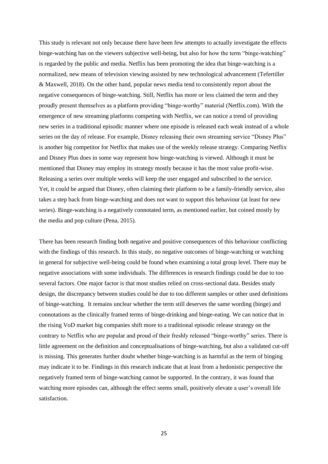This study is relevant not only because there have been few attempts to actually investigate the effects binge-watching has on the viewers subjective well-being, but also for how the term "binge-watching" is regarded by the public and media. Netflix has been promoting the idea that binge-watching is a normalized, new means of television viewing assisted by new technological advancement (Tefertiller & Maxwell, 2018). On the other hand, popular news media tend to consistently report about the negative consequences of binge-watching. Still, Netflix has more or less claimed the term and they proudly present themselves as a platform providing "binge-worthy" material (Netflix.com). With the emergence of new streaming platforms competing with Netflix, we can notice a trend of providing new series in a traditional episodic manner where one episode is released each weak instead of a whole series on the day of release. For example, Disney releasing their own streaming service "Disney Plus" is another big competitor for Netflix that makes use of the weekly release strategy. Comparing Netflix and Disney Plus does in some way represent how binge-watching is viewed. Although it must be mentioned that Disney may employ its strategy mostly because it has the most value profit-wise. Releasing a series over multiple weeks will keep the user engaged and subscribed to the service. Yet, it could be argued that Disney, often claiming their platform to be a family-friendly service, also takes a step back from binge-watching and does not want to support this behaviour (at least for new series). Binge-watching is a negatively connotated term, as mentioned earlier, but coined mostly by the media and pop culture (Pena, 2015).

There has been research finding both negative and positive consequences of this behaviour conflicting with the findings of this research. In this study, no negative outcomes of binge-watching or watching in general for subjective well-being could be found when examining a total group level. There may be negative associations with some individuals. The differences in research findings could be due to too several factors. One major factor is that most studies relied on cross-sectional data. Besides study design, the discrepancy between studies could be due to too different samples or other used definitions of binge-watching. It remains unclear whether the term still deserves the same wording (binge) and connotations as the clinically framed terms of binge-drinking and binge-eating. We can notice that in the rising VoD market big companies shift more to a traditional episodic release strategy on the contrary to Netflix who are popular and proud of their freshly released "binge-worthy" series. There is little agreement on the definition and conceptualisations of binge-watching, but also a validated cut-off is missing. This generates further doubt whether binge-watching is as harmful as the term of binging may indicate it to be. Findings in this research indicate that at least from a hedonistic perspective the negatively framed term of binge-watching cannot be supported. In the contrary, it was found that watching more episodes can, although the effect seems small, positively elevate a user's overall life satisfaction.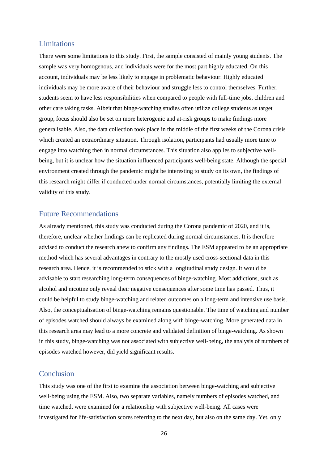#### <span id="page-26-0"></span>Limitations

There were some limitations to this study. First, the sample consisted of mainly young students. The sample was very homogenous, and individuals were for the most part highly educated. On this account, individuals may be less likely to engage in problematic behaviour. Highly educated individuals may be more aware of their behaviour and struggle less to control themselves. Further, students seem to have less responsibilities when compared to people with full-time jobs, children and other care taking tasks. Albeit that binge-watching studies often utilize college students as target group, focus should also be set on more heterogenic and at-risk groups to make findings more generalisable. Also, the data collection took place in the middle of the first weeks of the Corona crisis which created an extraordinary situation. Through isolation, participants had usually more time to engage into watching then in normal circumstances. This situation also applies to subjective wellbeing, but it is unclear how the situation influenced participants well-being state. Although the special environment created through the pandemic might be interesting to study on its own, the findings of this research might differ if conducted under normal circumstances, potentially limiting the external validity of this study.

#### <span id="page-26-1"></span>Future Recommendations

As already mentioned, this study was conducted during the Corona pandemic of 2020, and it is, therefore, unclear whether findings can be replicated during normal circumstances. It is therefore advised to conduct the research anew to confirm any findings. The ESM appeared to be an appropriate method which has several advantages in contrary to the mostly used cross-sectional data in this research area. Hence, it is recommended to stick with a longitudinal study design. It would be advisable to start researching long-term consequences of binge-watching. Most addictions, such as alcohol and nicotine only reveal their negative consequences after some time has passed. Thus, it could be helpful to study binge-watching and related outcomes on a long-term and intensive use basis. Also, the conceptualisation of binge-watching remains questionable. The time of watching and number of episodes watched should always be examined along with binge-watching. More generated data in this research area may lead to a more concrete and validated definition of binge-watching. As shown in this study, binge-watching was not associated with subjective well-being, the analysis of numbers of episodes watched however, did yield significant results.

#### <span id="page-26-2"></span>Conclusion

This study was one of the first to examine the association between binge-watching and subjective well-being using the ESM. Also, two separate variables, namely numbers of episodes watched, and time watched, were examined for a relationship with subjective well-being. All cases were investigated for life-satisfaction scores referring to the next day, but also on the same day. Yet, only

26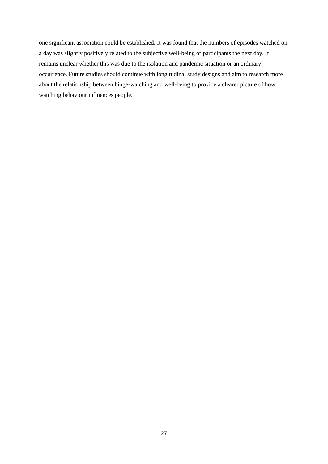<span id="page-27-0"></span>one significant association could be established. It was found that the numbers of episodes watched on a day was slightly positively related to the subjective well-being of participants the next day. It remains unclear whether this was due to the isolation and pandemic situation or an ordinary occurrence. Future studies should continue with longitudinal study designs and aim to research more about the relationship between binge-watching and well-being to provide a clearer picture of how watching behaviour influences people.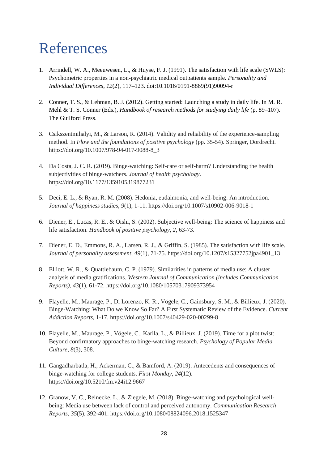## References

- 1. Arrindell, W. A., Meeuwesen, L., & Huyse, F. J. (1991). The satisfaction with life scale (SWLS): Psychometric properties in a non-psychiatric medical outpatients sample. *Personality and Individual Differences*, *12*(2), 117–123. doi:10.1016/0191-8869(91)90094-r
- 2. Conner, T. S., & Lehman, B. J. (2012). Getting started: Launching a study in daily life. In M. R. Mehl & T. S. Conner (Eds.), *Handbook of research methods for studying daily life* (p. 89–107). The Guilford Press.
- 3. Csikszentmihalyi, M., & Larson, R. (2014). Validity and reliability of the experience-sampling method. In *Flow and the foundations of positive psychology* (pp. 35-54). Springer, Dordrecht. https://doi.org/10.1007/978-94-017-9088-8\_3
- 4. Da Costa, J. C. R. (2019). Binge-watching: Self-care or self-harm? Understanding the health subjectivities of binge-watchers. *Journal of health psychology*. https://doi.org/10.1177/1359105319877231
- 5. Deci, E. L., & Ryan, R. M. (2008). Hedonia, eudaimonia, and well-being: An introduction. *Journal of happiness studies, 9*(1), 1-11. https://doi.org/10.1007/s10902-006-9018-1
- 6. Diener, E., Lucas, R. E., & Oishi, S. (2002). Subjective well-being: The science of happiness and life satisfaction. *Handbook of positive psychology*, *2*, 63-73.
- 7. Diener, E. D., Emmons, R. A., Larsen, R. J., & Griffin, S. (1985). The satisfaction with life scale. *Journal of personality assessment, 49*(1), 71-75. https://doi.org/10.1207/s15327752jpa4901\_13
- 8. Elliott, W. R., & Quattlebaum, C. P. (1979). Similarities in patterns of media use: A cluster analysis of media gratifications. *Western Journal of Communication (includes Communication Reports)*, *43*(1), 61-72. https://doi.org/10.1080/10570317909373954
- 9. Flayelle, M., Maurage, P., Di Lorenzo, K. R., Vögele, C., Gainsbury, S. M., & Billieux, J. (2020). Binge-Watching: What Do we Know So Far? A First Systematic Review of the Evidence. *Current Addiction Reports*, 1-17. https://doi.org/10.1007/s40429-020-00299-8
- 10. Flayelle, M., Maurage, P., Vögele, C., Karila, L., & Billieux, J. (2019). Time for a plot twist: Beyond confirmatory approaches to binge-watching research. *Psychology of Popular Media Culture*, *8*(3), 308.
- 11. Gangadharbatla, H., Ackerman, C., & Bamford, A. (2019). Antecedents and consequences of binge-watching for college students. *First Monday*, *24*(12). https://doi.org/10.5210/fm.v24i12.9667
- 12. Granow, V. C., Reinecke, L., & Ziegele, M. (2018). Binge-watching and psychological wellbeing: Media use between lack of control and perceived autonomy. *Communication Research Reports*, *35*(5), 392-401. https://doi.org/10.1080/08824096.2018.1525347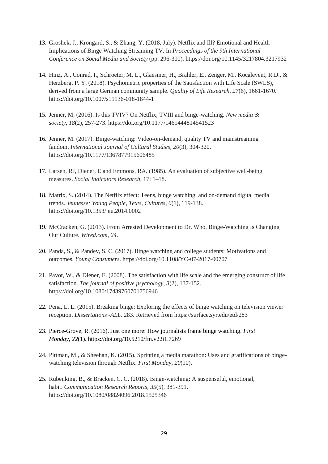- 13. Groshek, J., Krongard, S., & Zhang, Y. (2018, July). Netflix and Ill? Emotional and Health Implications of Binge Watching Streaming TV. In *Proceedings of the 9th International Conference on Social Media and Society* (pp. 296-300). https://doi.org/10.1145/3217804.3217932
- 14. Hinz, A., Conrad, I., Schroeter, M. L., Glaesmer, H., Brähler, E., Zenger, M., Kocalevent, R.D., & Herzberg, P. Y. (2018). Psychometric properties of the Satisfaction with Life Scale (SWLS), derived from a large German community sample. *Quality of Life Research, 27*(6), 1661-1670. https://doi.org/10.1007/s11136-018-1844-1
- 15. Jenner, M. (2016). Is this TVIV? On Netflix, TVIII and binge-watching. *New media & society*, *18*(2), 257-273. https://doi.org/10.1177/1461444814541523
- 16. Jenner, M. (2017). Binge-watching: Video-on-demand, quality TV and mainstreaming fandom. *International Journal of Cultural Studies*, *20*(3), 304-320. https://doi.org/10.1177/1367877915606485
- 17. Larsen, RJ, Diener, E and Emmons, RA. (1985). An evaluation of subjective well-being measures. *Social Indicators Research*, 17: 1–18.
- 18. Matrix, S. (2014). The Netflix effect: Teens, binge watching, and on-demand digital media trends. *Jeunesse: Young People, Texts, Cultures*, *6*(1), 119-138. https://doi.org/10.1353/jeu.2014.0002
- 19. McCracken, G. (2013). From Arrested Development to Dr. Who, Binge-Watching Is Changing Our Culture. *Wired.com*, *24*.
- 20. Panda, S., & Pandey, S. C. (2017). Binge watching and college students: Motivations and outcomes. *Young Consumers*. https://doi.org/10.1108/YC-07-2017-00707
- 21. Pavot, W., & Diener, E. (2008). The satisfaction with life scale and the emerging construct of life satisfaction. *The journal of positive psychology*, *3*(2), 137-152. https://doi.org/10.1080/17439760701756946
- 22. Pena, L. L. (2015). Breaking binge: Exploring the effects of binge watching on television viewer reception. *Dissertations -ALL.* 283. Retrieved from https://surface.syr.edu/etd/283
- 23. Pierce-Grove, R. (2016). Just one more: How journalists frame binge watching. *First Monday*, *22*(1). https://doi.org/10.5210/fm.v22i1.7269
- 24. Pittman, M., & Sheehan, K. (2015). Sprinting a media marathon: Uses and gratifications of bingewatching television through Netflix. *First Monday*, *20*(10).
- 25. Rubenking, B., & Bracken, C. C. (2018). Binge-watching: A suspenseful, emotional, habit. *Communication Research Reports*, *35*(5), 381-391. https://doi.org/10.1080/08824096.2018.1525346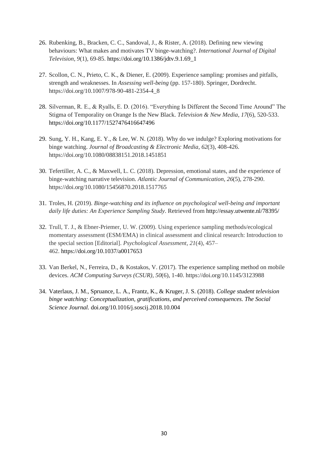- 26. Rubenking, B., Bracken, C. C., Sandoval, J., & Rister, A. (2018). Defining new viewing behaviours: What makes and motivates TV binge-watching?. *International Journal of Digital Television, 9*(1), 69-85. https://doi.org/10.1386/jdtv.9.1.69\_1
- 27. Scollon, C. N., Prieto, C. K., & Diener, E. (2009). Experience sampling: promises and pitfalls, strength and weaknesses. In *Assessing well-being* (pp. 157-180). Springer, Dordrecht. https://doi.org/10.1007/978-90-481-2354-4\_8
- 28. Silverman, R. E., & Ryalls, E. D. (2016). "Everything Is Different the Second Time Around" The Stigma of Temporality on Orange Is the New Black. *Television & New Media*, *17*(6), 520-533. https://doi.org/10.1177/1527476416647496
- 29. Sung, Y. H., Kang, E. Y., & Lee, W. N. (2018). Why do we indulge? Exploring motivations for binge watching. *Journal of Broadcasting & Electronic Media*, *62*(3), 408-426. https://doi.org/10.1080/08838151.2018.1451851
- 30. Tefertiller, A. C., & Maxwell, L. C. (2018). Depression, emotional states, and the experience of binge-watching narrative television. *Atlantic Journal of Communication*, *26*(5), 278-290. https://doi.org/10.1080/15456870.2018.1517765
- 31. Troles, H. (2019). *Binge-watching and its influence on psychological well-being and important daily life duties: An Experience Sampling Study*. Retrieved from http://essay.utwente.nl/78395/
- 32. Trull, T. J., & Ebner-Priemer, U. W. (2009). Using experience sampling methods/ecological momentary assessment (ESM/EMA) in clinical assessment and clinical research: Introduction to the special section [Editorial]. *Psychological Assessment, 21*(4), 457– 462. https://doi.org/10.1037/a0017653
- 33. Van Berkel, N., Ferreira, D., & Kostakos, V. (2017). The experience sampling method on mobile devices. *ACM Computing Surveys (CSUR)*, *50*(6), 1-40. https://doi.org/10.1145/3123988
- 34. Vaterlaus, J. M., Spruance, L. A., Frantz, K., & Kruger, J. S. (2018). *College student television binge watching: Conceptualization, gratifications, and perceived consequences. The Social Science Journal.* doi.org/10.1016/j.soscij.2018.10.004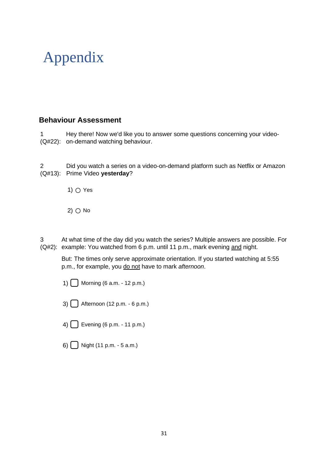## Appendix

### **Behaviour Assessment**

1 (Q#22): on-demand watching behaviour. Hey there! Now we'd like you to answer some questions concerning your video-

2 (Q#13): Prime Video **yesterday**? Did you watch a series on a video-on-demand platform such as Netflix or Amazon

1) ○ Yes

 $2)$   $\bigcirc$  No

3 (Q#2): example: You watched from 6 p.m. until 11 p.m., mark evening and night. At what time of the day did you watch the series? Multiple answers are possible. For

But: The times only serve approximate orientation. If you started watching at 5:55 p.m., for example, you do not have to mark *afternoon*.

- 1)  $\Box$  Morning (6 a.m. 12 p.m.)
- 3) ▢ Afternoon (12 p.m. 6 p.m.)
- 4)  $\Box$  Evening (6 p.m. 11 p.m.)
- 6)  $\bigcap$  Night (11 p.m. 5 a.m.)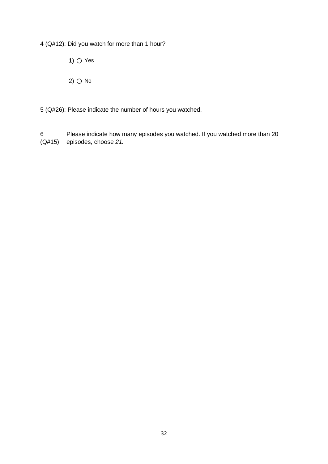4 (Q#12): Did you watch for more than 1 hour?

1)  $\bigcirc$  Yes

2)  $\bigcirc$  No

5 (Q#26): Please indicate the number of hours you watched.

6 (Q#15): episodes, choose *21.*Please indicate how many episodes you watched. If you watched more than 20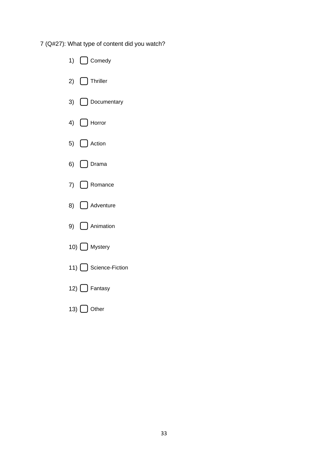7 (Q#27): What type of content did you watch?

| 1) $\bigcap$ Comedy    |
|------------------------|
| 2) $\Box$ Thriller     |
| 3) Documentary         |
| 4) $\bigcap$ Horror    |
| 5) $\bigcap$ Action    |
| 6) $\bigcap$ Drama     |
| 7) $\bigcap$ Romance   |
| 8) Adventure           |
| 9) $\bigcap$ Animation |
| 10) Mystery            |
| 11) Science-Fiction    |
| 12) <b>D</b> Fantasy   |
| 13) Other              |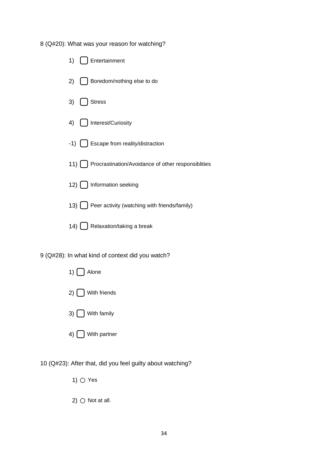8 (Q#20): What was your reason for watching?

| 1) | [ ] Entertainment                                          |
|----|------------------------------------------------------------|
|    | 2)   Boredom/nothing else to do                            |
| 3) | Stress                                                     |
|    | 4) [ ] Interest/Curiosity                                  |
|    | -1) [ ] Escape from reality/distraction                    |
|    | 11) [ ] Procrastination/Avoidance of other responsiblities |
|    | 12) [ ] Information seeking                                |
|    | 13) [ ] Peer activity (watching with friends/family)       |
|    | 14) [ Relaxation/taking a break                            |

9 (Q#28): In what kind of context did you watch?



10 (Q#23): After that, did you feel guilty about watching?

1)  $\bigcirc$  Yes

2)  $\bigcirc$  Not at all.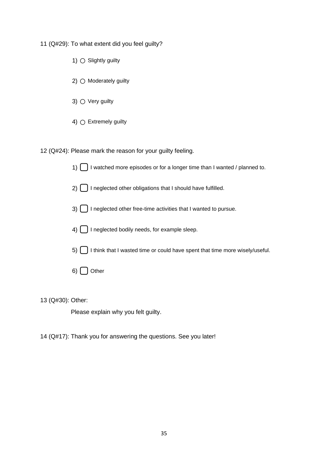11 (Q#29): To what extent did you feel guilty?

- 1)  $\bigcirc$  Slightly guilty
- 2)  $\bigcirc$  Moderately guilty
- 3)  $\bigcirc$  Very guilty
- 4)  $\bigcap$  Extremely guilty

12 (Q#24): Please mark the reason for your guilty feeling.

1)  $\Box$  I watched more episodes or for a longer time than I wanted / planned to.

2) ◯ I neglected other obligations that I should have fulfilled.

- 3)  $\bigcap$  I neglected other free-time activities that I wanted to pursue.
- $(4)$   $\bigcap$  I neglected bodily needs, for example sleep.
- $5)$  I think that I wasted time or could have spent that time more wisely/useful.
- $6)$  Other

13 (Q#30): Other:

Please explain why you felt guilty.

14 (Q#17): Thank you for answering the questions. See you later!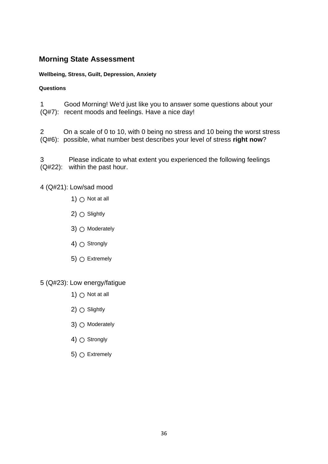### **Morning State Assessment**

#### **Wellbeing, Stress, Guilt, Depression, Anxiety**

#### **Questions**

1 (Q#7): recent moods and feelings. Have a nice day! Good Morning! We'd just like you to answer some questions about your

2 (Q#6): possible, what number best describes your level of stress **right now**? On a scale of 0 to 10, with 0 being no stress and 10 being the worst stress

3 (Q#22): within the past hour. Please indicate to what extent you experienced the following feelings

4 (Q#21): Low/sad mood

- 1)  $\bigcirc$  Not at all
- 2)  $\bigcirc$  Slightly
- $3)$   $\bigcirc$  Moderately
- 4)  $\bigcirc$  Strongly
- 5)  $\bigcirc$  Extremely

#### 5 (Q#23): Low energy/fatigue

- 1)  $\bigcirc$  Not at all
- 2)  $\bigcirc$  Slightly
- $3)$   $\bigcirc$  Moderately
- 4)  $\bigcirc$  Strongly
- 5)  $\bigcirc$  Extremely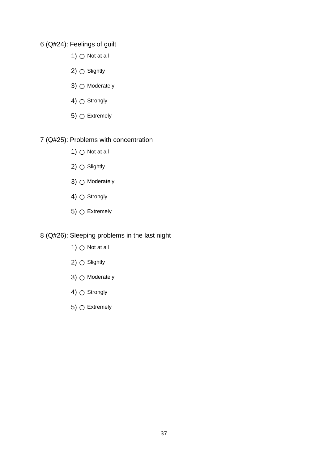#### 6 (Q#24): Feelings of guilt

- 1)  $\bigcirc$  Not at all
- 2)  $\bigcirc$  Slightly
- 3)  $\bigcirc$  Moderately
- 4)  $\bigcirc$  Strongly
- 5)  $\bigcirc$  Extremely

#### 7 (Q#25): Problems with concentration

- 1)  $\bigcirc$  Not at all
- 2)  $\bigcirc$  Slightly
- 3) Moderately
- 4)  $\bigcirc$  Strongly
- 5)  $\bigcirc$  Extremely

8 (Q#26): Sleeping problems in the last night

- 1)  $\bigcirc$  Not at all
- 2)  $\bigcirc$  Slightly
- 3) Moderately
- 4)  $\bigcirc$  Strongly
- 5)  $\bigcirc$  Extremely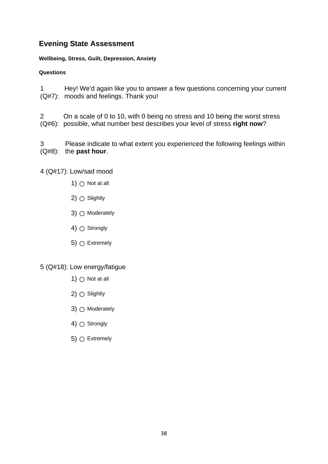### **Evening State Assessment**

#### **Wellbeing, Stress, Guilt, Depression, Anxiety**

#### **Questions**

1 (Q#7): moods and feelings. Thank you! Hey! We'd again like you to answer a few questions concerning your current

2 (Q#6): possible, what number best describes your level of stress **right now**? On a scale of 0 to 10, with 0 being no stress and 10 being the worst stress

3 (Q#8): the **past hour**. Please indicate to what extent you experienced the following feelings within

#### 4 (Q#17): Low/sad mood

- 1)  $\bigcirc$  Not at all
- 2)  $\bigcirc$  Slightly
- 3)  $\bigcirc$  Moderately
- 4)  $\bigcirc$  Strongly
- 5)  $\bigcirc$  Extremely

#### 5 (Q#18): Low energy/fatigue

- 1)  $\bigcirc$  Not at all
- $2)$   $\bigcirc$  Slightly
- 3)  $\bigcirc$  Moderately
- 4)  $\bigcap$  Strongly
- 5)  $\bigcirc$  Extremely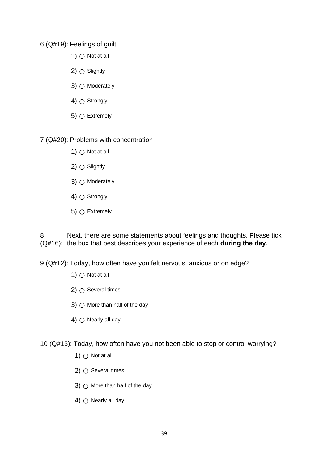#### 6 (Q#19): Feelings of guilt

- 1)  $\bigcirc$  Not at all
- $2)$   $\bigcirc$  Slightly
- 3)  $\bigcirc$  Moderately
- 4)  $\bigcap$  Strongly
- 5)  $\bigcirc$  Extremely

#### 7 (Q#20): Problems with concentration

- 1)  $\bigcirc$  Not at all
- $2)$   $\bigcirc$  Slightly
- 3) Moderately
- 4)  $\bigcap$  Strongly
- 5)  $\bigcirc$  Extremely

8 (Q#16): the box that best describes your experience of each **during the day**. Next, there are some statements about feelings and thoughts. Please tick

9 (Q#12): Today, how often have you felt nervous, anxious or on edge?

- 1)  $\bigcirc$  Not at all
- 2)  $\bigcirc$  Several times
- 3)  $\bigcap$  More than half of the day
- 4)  $\bigcirc$  Nearly all day

10 (Q#13): Today, how often have you not been able to stop or control worrying?

- 1)  $\bigcirc$  Not at all
- $2)$   $\bigcirc$  Several times
- 3)  $\bigcirc$  More than half of the day
- 4)  $\bigcirc$  Nearly all day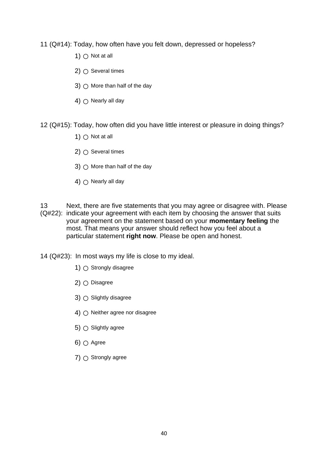- 11 (Q#14): Today, how often have you felt down, depressed or hopeless?
	- 1)  $\bigcirc$  Not at all
	- $2)$   $\bigcirc$  Several times
	- 3)  $\bigcirc$  More than half of the day
	- 4)  $\cap$  Nearly all day
- 12 (Q#15): Today, how often did you have little interest or pleasure in doing things?
	- 1)  $\bigcap$  Not at all
	- $2)$   $\bigcirc$  Several times
	- 3)  $\bigcirc$  More than half of the day
	- 4)  $\bigcap$  Nearly all day
- 13 (Q#22): indicate your agreement with each item by choosing the answer that suits Next, there are five statements that you may agree or disagree with. Please your agreement on the statement based on your **momentary feeling** the most. That means your answer should reflect how you feel about a particular statement **right now**. Please be open and honest.

14 (Q#23): In most ways my life is close to my ideal.

- 1)  $\bigcirc$  Strongly disagree
- $2)$   $\bigcirc$  Disagree
- 3)  $\bigcirc$  Slightly disagree
- 4)  $\bigcirc$  Neither agree nor disagree
- 5)  $\bigcirc$  Slightly agree
- 6)  $\bigcirc$  Agree
- $7)$   $\bigcirc$  Strongly agree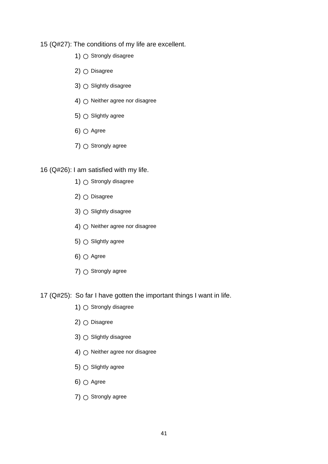15 (Q#27): The conditions of my life are excellent.

- 1) Strongly disagree
- $2)$   $\bigcirc$  Disagree
- 3) Slightly disagree
- 4)  $\bigcirc$  Neither agree nor disagree
- 5)  $\bigcirc$  Slightly agree
- 6)  $\bigcap$  Agree
- 7)  $\bigcirc$  Strongly agree

#### 16 (Q#26): I am satisfied with my life.

- 1)  $\bigcirc$  Strongly disagree
- $2)$   $\bigcirc$  Disagree
- 3)  $\bigcirc$  Slightly disagree
- 4)  $\cap$  Neither agree nor disagree
- 5)  $\bigcirc$  Slightly agree
- 6)  $\bigcap$  Agree
- $7)$   $\bigcirc$  Strongly agree
- 17 (Q#25): So far I have gotten the important things I want in life.
	- 1) Strongly disagree
	- 2) Disagree
	- 3) Slightly disagree
	- 4) Neither agree nor disagree
	- 5)  $\bigcirc$  Slightly agree
	- 6)  $\bigcirc$  Agree
	- $7)$   $\bigcirc$  Strongly agree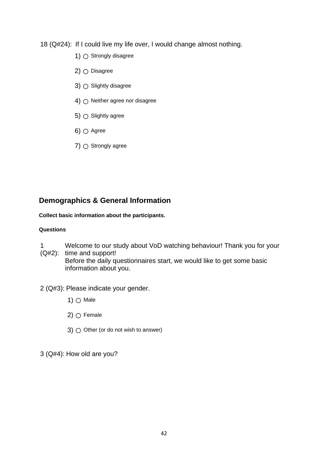18 (Q#24): If I could live my life over, I would change almost nothing.

- 1) Strongly disagree
- $2)$   $\bigcirc$  Disagree
- 3)  $\bigcirc$  Slightly disagree
- 4)  $\bigcirc$  Neither agree nor disagree
- 5)  $\bigcirc$  Slightly agree
- $6)$   $\bigcirc$  Agree
- $7)$   $\bigcirc$  Strongly agree

### **Demographics & General Information**

#### **Collect basic information about the participants.**

#### **Questions**

- 1 Welcome to our study about VoD watching behaviour! Thank you for your
- (Q#2): time and support! Before the daily questionnaires start, we would like to get some basic information about you.
- 2 (Q#3): Please indicate your gender.
	- 1)  $\bigcirc$  Male
	- 2)  $\bigcirc$  Female
	- 3)  $\bigcirc$  Other (or do not wish to answer)

3 (Q#4): How old are you?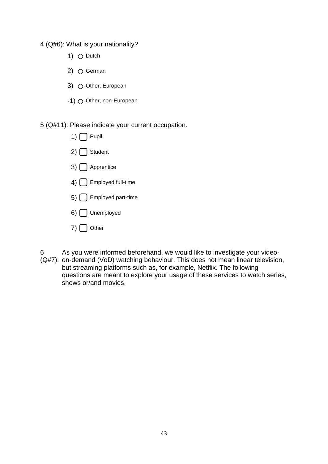4 (Q#6): What is your nationality?

- 1)  $\bigcirc$  Dutch
- 2)  $\bigcirc$  German
- 3)  $\bigcirc$  Other, European
- -1) Other, non-European

5 (Q#11): Please indicate your current occupation.

| 1) $\bigcap$ Pupil                    |
|---------------------------------------|
| $2)$ $\left[$ $\right]$ Student       |
| $3)$ $\bigcap$ Apprentice             |
| 4) Employed full-time                 |
| 5) Employed part-time                 |
| $6)$   Unemployed                     |
| $7)$ $\left[\phantom{a}\right]$ Other |

6 (Q#7): on-demand (VoD) watching behaviour. This does not mean linear television, As you were informed beforehand, we would like to investigate your videobut streaming platforms such as, for example, Netflix. The following questions are meant to explore your usage of these services to watch series, shows or/and movies.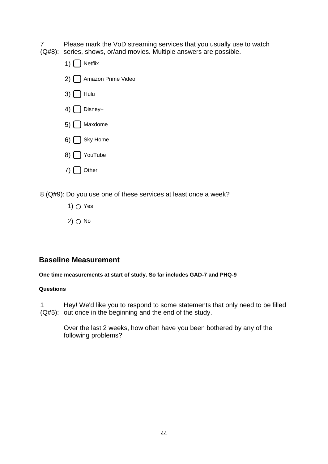7 (Q#8): series, shows, or/and movies. Multiple answers are possible. Please mark the VoD streaming services that you usually use to watch

1)  $\bigcap$  Netflix 2) ∩ Amazon Prime Video  $3)$   $\Box$  Hulu  $(4)$   $\bigcap$  Disney+  $5)$  Maxdome  $6)$  Sky Home 8) ◯ YouTube  $7)$  Other

8 (Q#9): Do you use one of these services at least once a week?

- 1)  $\bigcap$  Yes
- $2)$   $\bigcirc$  No

### **Baseline Measurement**

#### **One time measurements at start of study. So far includes GAD-7 and PHQ-9**

#### **Questions**

1 (Q#5): out once in the beginning and the end of the study. Hey! We'd like you to respond to some statements that only need to be filled

Over the last 2 weeks, how often have you been bothered by any of the following problems?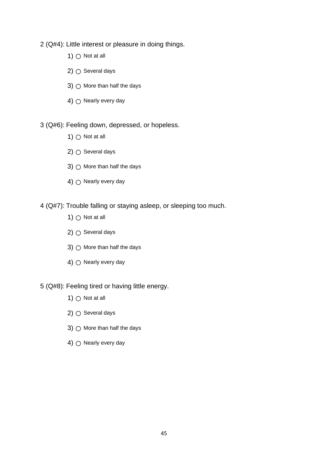2 (Q#4): Little interest or pleasure in doing things.

- 1)  $\bigcirc$  Not at all
- 2)  $\bigcirc$  Several days
- 3)  $\bigcirc$  More than half the days
- 4)  $\bigcirc$  Nearly every day

3 (Q#6): Feeling down, depressed, or hopeless.

- 1)  $\bigcirc$  Not at all
- 2)  $\bigcirc$  Several days
- 3)  $\bigcirc$  More than half the days
- 4)  $\bigcirc$  Nearly every day

4 (Q#7): Trouble falling or staying asleep, or sleeping too much.

- 1)  $\bigcirc$  Not at all
- 2)  $\bigcirc$  Several days
- 3)  $\bigcirc$  More than half the days
- 4)  $\bigcap$  Nearly every day
- 5 (Q#8): Feeling tired or having little energy.
	- 1)  $\bigcirc$  Not at all
	- 2)  $\bigcirc$  Several days
	- 3)  $\bigcirc$  More than half the days
	- 4)  $\bigcirc$  Nearly every day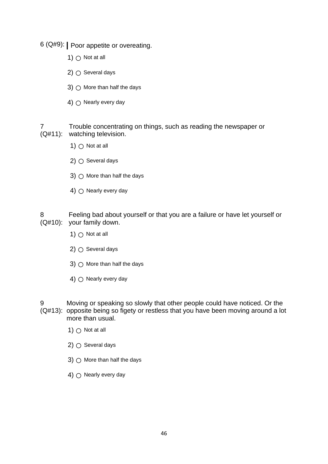6 (Q#9): **|** Poor appetite or overeating.

- 1)  $\bigcap$  Not at all
- 2)  $\bigcirc$  Several days
- 3)  $\bigcirc$  More than half the days
- 4)  $\bigcirc$  Nearly every day

7 (Q#11): watching television. Trouble concentrating on things, such as reading the newspaper or

- 1)  $\bigcirc$  Not at all
- $2)$   $\bigcirc$  Several days
- 3)  $\bigcirc$  More than half the days
- 4)  $\bigcap$  Nearly every day

8 (Q#10): your family down. Feeling bad about yourself or that you are a failure or have let yourself or

- 1)  $\bigcirc$  Not at all
- 2)  $\bigcirc$  Several days
- 3)  $\bigcirc$  More than half the days
- 4)  $\bigcirc$  Nearly every day
- 9 (Q#13): opposite being so figety or restless that you have been moving around a lot Moving or speaking so slowly that other people could have noticed. Or the more than usual.
	- 1)  $\bigcirc$  Not at all
	- $2)$   $\bigcirc$  Several days
	- 3)  $\bigcirc$  More than half the days
	- 4)  $\bigcirc$  Nearly every day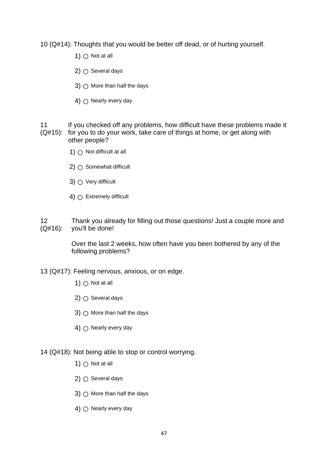10 (Q#14): Thoughts that you would be better off dead, or of hurting yourself.

- 1)  $\bigcirc$  Not at all
- $2)$   $\bigcirc$  Several days
- 3)  $\bigcap$  More than half the days
- $4)$   $\cap$  Nearly every day
- 11 (Q#15): for you to do your work, take care of things at home, or get along with If you checked off any problems, how difficult have these problems made it other people?
	- 1)  $\bigcap$  Not difficult at all
	- $2)$   $\bigcirc$  Somewhat difficult
	- 3)  $\bigcirc$  Very difficult
	- 4)  $\bigcap$  Extremely difficult
- 12 (Q#16): Thank you already for filling out those questions! Just a couple more and you'll be done!

Over the last 2 weeks, how often have you been bothered by any of the following problems?

13 (Q#17): Feeling nervous, anxious, or on edge.

- 1)  $\bigcap$  Not at all
- $2)$   $\bigcirc$  Several days
- 3)  $\bigcap$  More than half the days
- 4)  $\bigcap$  Nearly every day
- 14 (Q#18): Not being able to stop or control worrying.
	- 1)  $\bigcirc$  Not at all
	- $2)$   $\bigcirc$  Several days
	- 3)  $\bigcirc$  More than half the days
	- 4)  $\bigcap$  Nearly every day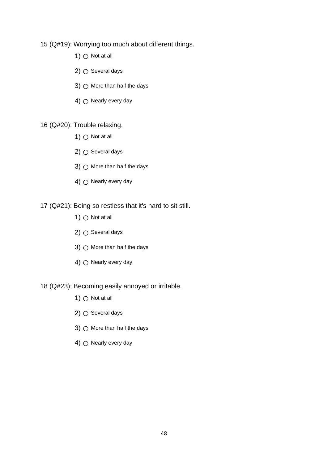#### 15 (Q#19): Worrying too much about different things.

- 1)  $\bigcirc$  Not at all
- $2)$   $\bigcirc$  Several days
- 3)  $\bigcirc$  More than half the days
- 4)  $\bigcirc$  Nearly every day

16 (Q#20): Trouble relaxing.

- 1)  $\bigcirc$  Not at all
- $2)$   $\bigcirc$  Several days
- 3)  $\bigcirc$  More than half the days
- 4)  $\bigcirc$  Nearly every day

17 (Q#21): Being so restless that it's hard to sit still.

- 1)  $\bigcirc$  Not at all
- 2)  $\bigcirc$  Several days
- 3)  $\bigcirc$  More than half the days
- 4)  $\bigcap$  Nearly every day
- 18 (Q#23): Becoming easily annoyed or irritable.
	- 1)  $\bigcirc$  Not at all
	- 2)  $\bigcirc$  Several days
	- 3)  $\bigcirc$  More than half the days
	- 4)  $\bigcirc$  Nearly every day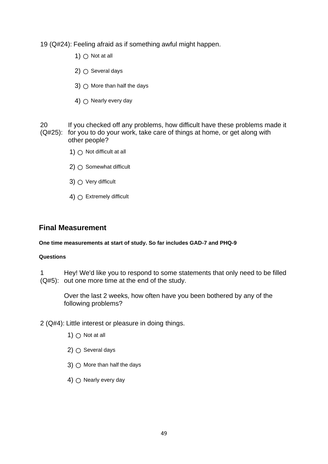19 (Q#24): Feeling afraid as if something awful might happen.

- 1)  $\bigcirc$  Not at all
- $2)$   $\bigcirc$  Several days
- 3)  $\bigcirc$  More than half the days
- $4)$   $\cap$  Nearly every day
- 20 (Q#25): for you to do your work, take care of things at home, or get along with If you checked off any problems, how difficult have these problems made it other people?
	- 1)  $\bigcap$  Not difficult at all
	- $2)$   $\bigcirc$  Somewhat difficult
	- 3)  $\bigcirc$  Very difficult
	- 4)  $\bigcap$  Extremely difficult

#### **Final Measurement**

#### **One time measurements at start of study. So far includes GAD-7 and PHQ-9**

#### **Questions**

1 (Q#5): out one more time at the end of the study. Hey! We'd like you to respond to some statements that only need to be filled

Over the last 2 weeks, how often have you been bothered by any of the following problems?

- 2 (Q#4): Little interest or pleasure in doing things.
	- 1)  $\bigcap$  Not at all
	- $2)$   $\bigcirc$  Several days
	- 3)  $\bigcap$  More than half the days
	- 4)  $\bigcirc$  Nearly every day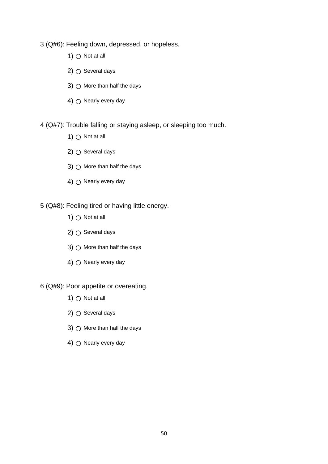- 3 (Q#6): Feeling down, depressed, or hopeless.
	- 1)  $\bigcirc$  Not at all
	- 2)  $\bigcirc$  Several days
	- 3)  $\bigcirc$  More than half the days
	- 4)  $\bigcirc$  Nearly every day
- 4 (Q#7): Trouble falling or staying asleep, or sleeping too much.
	- 1)  $\bigcirc$  Not at all
	- 2)  $\bigcirc$  Several days
	- 3)  $\bigcirc$  More than half the days
	- 4)  $\bigcirc$  Nearly every day
- 5 (Q#8): Feeling tired or having little energy.
	- 1)  $\bigcirc$  Not at all
	- 2)  $\bigcirc$  Several days
	- 3)  $\bigcirc$  More than half the days
	- 4)  $\bigcap$  Nearly every day
- 6 (Q#9): Poor appetite or overeating.
	- 1)  $\bigcirc$  Not at all
	- 2)  $\bigcirc$  Several days
	- 3)  $\bigcirc$  More than half the days
	- 4)  $\bigcirc$  Nearly every day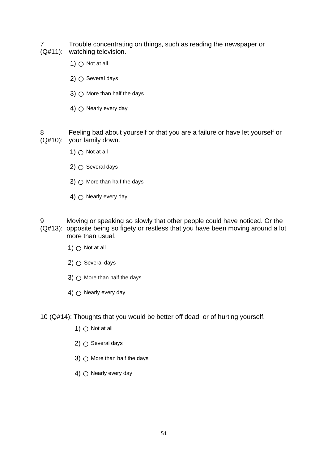- 7 (Q#11): watching television. Trouble concentrating on things, such as reading the newspaper or
	- 1)  $\bigcap$  Not at all
	- 2)  $\bigcirc$  Several days
	- 3)  $\bigcirc$  More than half the days
	- 4)  $\bigcap$  Nearly every day

8 (Q#10): your family down. Feeling bad about yourself or that you are a failure or have let yourself or

- 1)  $\bigcirc$  Not at all
- $2)$   $\bigcirc$  Several days
- 3)  $\bigcirc$  More than half the days
- 4)  $\bigcirc$  Nearly every day
- 9 (Q#13): opposite being so figety or restless that you have been moving around a lot Moving or speaking so slowly that other people could have noticed. Or the more than usual.
	- 1)  $\bigcirc$  Not at all
	- $2)$   $\bigcirc$  Several days
	- 3)  $\bigcirc$  More than half the days
	- 4)  $\bigcirc$  Nearly every day

10 (Q#14): Thoughts that you would be better off dead, or of hurting yourself.

- 1)  $\bigcirc$  Not at all
- 2)  $\bigcirc$  Several days
- 3)  $\bigcirc$  More than half the days
- 4)  $\bigcap$  Nearly every day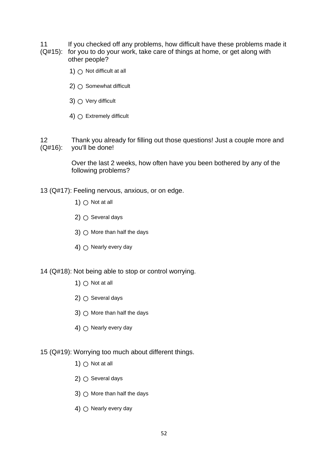- 11 (Q#15): for you to do your work, take care of things at home, or get along with If you checked off any problems, how difficult have these problems made it
	- other people?
		- 1)  $\bigcirc$  Not difficult at all
		- $2)$   $\bigcirc$  Somewhat difficult
		- 3)  $\bigcirc$  Very difficult
		- 4)  $\bigcap$  Extremely difficult

12 (Q#16): Thank you already for filling out those questions! Just a couple more and you'll be done!

> Over the last 2 weeks, how often have you been bothered by any of the following problems?

- 13 (Q#17): Feeling nervous, anxious, or on edge.
	- 1)  $\cap$  Not at all
	- $2)$   $\bigcirc$  Several days
	- 3)  $\bigcap$  More than half the days
	- 4)  $\bigcirc$  Nearly every day

14 (Q#18): Not being able to stop or control worrying.

- 1)  $\bigcap$  Not at all
- $2)$   $\bigcirc$  Several days
- 3)  $\bigcap$  More than half the days
- 4)  $\bigcirc$  Nearly every day
- 15 (Q#19): Worrying too much about different things.
	- 1)  $\bigcirc$  Not at all
	- $2)$   $\bigcirc$  Several days
	- 3)  $\bigcirc$  More than half the days
	- 4)  $\bigcap$  Nearly every day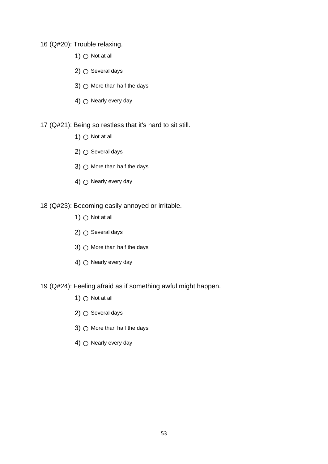16 (Q#20): Trouble relaxing.

- 1)  $\bigcirc$  Not at all
- $2)$   $\bigcirc$  Several days
- 3)  $\bigcirc$  More than half the days
- 4)  $\bigcirc$  Nearly every day
- 17 (Q#21): Being so restless that it's hard to sit still.
	- 1)  $\bigcirc$  Not at all
	- 2)  $\bigcirc$  Several days
	- 3)  $\bigcirc$  More than half the days
	- 4)  $\bigcirc$  Nearly every day
- 18 (Q#23): Becoming easily annoyed or irritable.
	- 1)  $\bigcirc$  Not at all
	- 2)  $\bigcirc$  Several days
	- 3)  $\bigcirc$  More than half the days
	- 4)  $\bigcap$  Nearly every day
- 19 (Q#24): Feeling afraid as if something awful might happen.
	- 1)  $\bigcirc$  Not at all
	- 2)  $\bigcirc$  Several days
	- 3)  $\bigcirc$  More than half the days
	- 4)  $\bigcirc$  Nearly every day